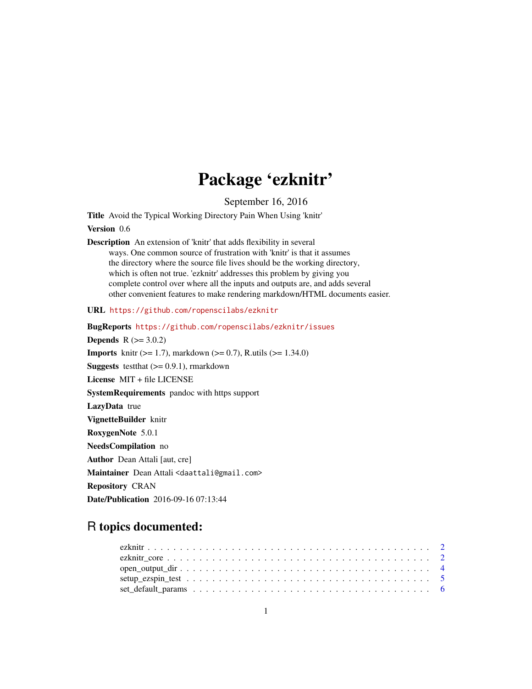# Package 'ezknitr'

September 16, 2016

<span id="page-0-0"></span>Title Avoid the Typical Working Directory Pain When Using 'knitr' Version 0.6

Description An extension of 'knitr' that adds flexibility in several ways. One common source of frustration with 'knitr' is that it assumes the directory where the source file lives should be the working directory, which is often not true. 'ezknitr' addresses this problem by giving you complete control over where all the inputs and outputs are, and adds several other convenient features to make rendering markdown/HTML documents easier.

URL <https://github.com/ropenscilabs/ezknitr>

BugReports <https://github.com/ropenscilabs/ezknitr/issues> **Depends** R  $(>= 3.0.2)$ **Imports** knitr ( $>= 1.7$ ), markdown ( $>= 0.7$ ), R.utils ( $>= 1.34.0$ ) **Suggests** test that  $(>= 0.9.1)$ , rmarkdown License MIT + file LICENSE SystemRequirements pandoc with https support LazyData true VignetteBuilder knitr RoxygenNote 5.0.1 NeedsCompilation no Author Dean Attali [aut, cre] Maintainer Dean Attali <daattali@gmail.com> Repository CRAN Date/Publication 2016-09-16 07:13:44

# R topics documented: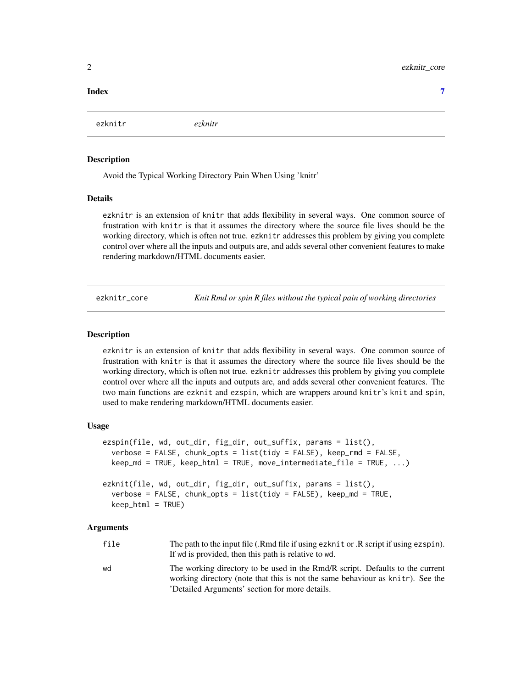#### <span id="page-1-0"></span>**Index** [7](#page-6-0) **7**

ezknitr *ezknitr*

## Description

Avoid the Typical Working Directory Pain When Using 'knitr'

# Details

ezknitr is an extension of knitr that adds flexibility in several ways. One common source of frustration with knitr is that it assumes the directory where the source file lives should be the working directory, which is often not true. ezknitr addresses this problem by giving you complete control over where all the inputs and outputs are, and adds several other convenient features to make rendering markdown/HTML documents easier.

ezknitr\_core *Knit Rmd or spin R files without the typical pain of working directories*

# <span id="page-1-1"></span>**Description**

ezknitr is an extension of knitr that adds flexibility in several ways. One common source of frustration with knitr is that it assumes the directory where the source file lives should be the working directory, which is often not true. ezknitr addresses this problem by giving you complete control over where all the inputs and outputs are, and adds several other convenient features. The two main functions are ezknit and ezspin, which are wrappers around knitr's knit and spin, used to make rendering markdown/HTML documents easier.

# Usage

```
ezspin(file, wd, out_dir, fig_dir, out_suffix, params = list(),
  verbose = FALSE, chunk_opts = list(tidy = FALSE), keep_rmd = FALSE,
  keep\_md = TRUE, keep\_html = TRUE, move\_intermediate\_file = TRUE, ...)ezknit(file, wd, out_dir, fig_dir, out_suffix, params = list(),
```

```
verbose = FALSE, chunk_opts = list(tidy = FALSE), keep_md = TRUE,
keep_html = TRUE)
```
#### Arguments

| file | The path to the input file (.Rmd file if using ezknit or .R script if using ezspin).<br>If wd is provided, then this path is relative to wd. |
|------|----------------------------------------------------------------------------------------------------------------------------------------------|
|      |                                                                                                                                              |
| hw   | The working directory to be used in the Rmd/R script. Defaults to the current                                                                |
|      | working directory (note that this is not the same behaviour as knitr). See the                                                               |
|      | 'Detailed Arguments' section for more details.                                                                                               |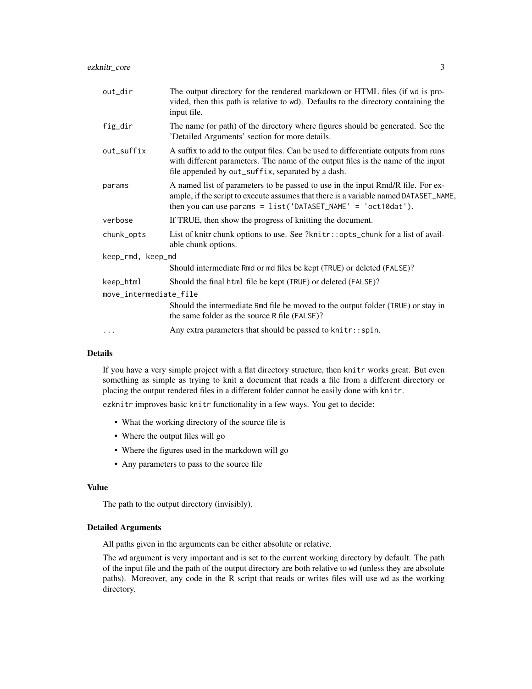| out_dir                | The output directory for the rendered markdown or HTML files (if wd is pro-<br>vided, then this path is relative to wd). Defaults to the directory containing the<br>input file.                                                          |
|------------------------|-------------------------------------------------------------------------------------------------------------------------------------------------------------------------------------------------------------------------------------------|
| fig_dir                | The name (or path) of the directory where figures should be generated. See the<br>'Detailed Arguments' section for more details.                                                                                                          |
| out_suffix             | A suffix to add to the output files. Can be used to differentiate outputs from runs<br>with different parameters. The name of the output files is the name of the input<br>file appended by out_suffix, separated by a dash.              |
| params                 | A named list of parameters to be passed to use in the input Rmd/R file. For ex-<br>ample, if the script to execute assumes that there is a variable named DATASET_NAME,<br>then you can use params = $list('DATASET_NAME' = 'oct10dat').$ |
| verbose                | If TRUE, then show the progress of knitting the document.                                                                                                                                                                                 |
| chunk_opts             | List of knitr chunk options to use. See ?knitr::opts_chunk for a list of avail-<br>able chunk options.                                                                                                                                    |
| keep_rmd, keep_md      |                                                                                                                                                                                                                                           |
|                        | Should intermediate Rmd or md files be kept (TRUE) or deleted (FALSE)?                                                                                                                                                                    |
| keep_html              | Should the final html file be kept (TRUE) or deleted (FALSE)?                                                                                                                                                                             |
| move_intermediate_file |                                                                                                                                                                                                                                           |
|                        | Should the intermediate Rmd file be moved to the output folder (TRUE) or stay in<br>the same folder as the source R file (FALSE)?                                                                                                         |
| $\cdots$               | Any extra parameters that should be passed to knitr::spin.                                                                                                                                                                                |

# Details

If you have a very simple project with a flat directory structure, then knitr works great. But even something as simple as trying to knit a document that reads a file from a different directory or placing the output rendered files in a different folder cannot be easily done with knitr.

ezknitr improves basic knitr functionality in a few ways. You get to decide:

- What the working directory of the source file is
- Where the output files will go
- Where the figures used in the markdown will go
- Any parameters to pass to the source file

# Value

The path to the output directory (invisibly).

#### Detailed Arguments

All paths given in the arguments can be either absolute or relative.

The wd argument is very important and is set to the current working directory by default. The path of the input file and the path of the output directory are both relative to wd (unless they are absolute paths). Moreover, any code in the R script that reads or writes files will use wd as the working directory.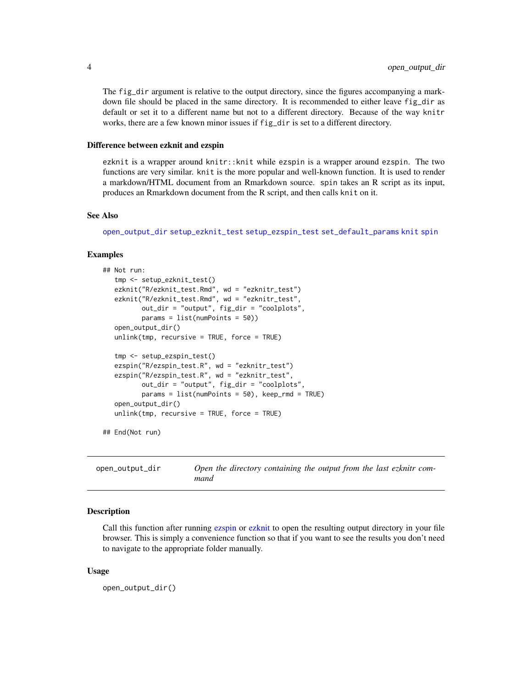The fig\_dir argument is relative to the output directory, since the figures accompanying a markdown file should be placed in the same directory. It is recommended to either leave fig\_dir as default or set it to a different name but not to a different directory. Because of the way knitr works, there are a few known minor issues if fig\_dir is set to a different directory.

#### Difference between ezknit and ezspin

ezknit is a wrapper around knitr::knit while ezspin is a wrapper around ezspin. The two functions are very similar. knit is the more popular and well-known function. It is used to render a markdown/HTML document from an Rmarkdown source. spin takes an R script as its input, produces an Rmarkdown document from the R script, and then calls knit on it.

#### See Also

[open\\_output\\_dir](#page-3-1) [setup\\_ezknit\\_test](#page-4-1) [setup\\_ezspin\\_test](#page-4-2) [set\\_default\\_params](#page-5-1) [knit](#page-0-0) [spin](#page-0-0)

# Examples

```
## Not run:
   tmp <- setup_ezknit_test()
   ezknit("R/ezknit_test.Rmd", wd = "ezknitr_test")
   ezknit("R/ezknit_test.Rmd", wd = "ezknitr_test",
          out_dir = "output", fig_dir = "coolplots",
          params = list(numPoints = 50))
  open_output_dir()
  unlink(tmp, recursive = TRUE, force = TRUE)
   tmp <- setup_ezspin_test()
   ezspin("R/ezspin_test.R", wd = "ezknitr_test")
   ezspin("R/ezspin_test.R", wd = "ezknitr_test",
          out_dir = "output", fig_dir = "coolplots",
          params = list(numPoints = 50), keep\_rnd = TRUE)
   open_output_dir()
  unlink(tmp, recursive = TRUE, force = TRUE)
```
## End(Not run)

<span id="page-3-1"></span>open\_output\_dir *Open the directory containing the output from the last ezknitr command*

#### Description

Call this function after running [ezspin](#page-1-1) or [ezknit](#page-1-1) to open the resulting output directory in your file browser. This is simply a convenience function so that if you want to see the results you don't need to navigate to the appropriate folder manually.

#### Usage

open\_output\_dir()

<span id="page-3-0"></span>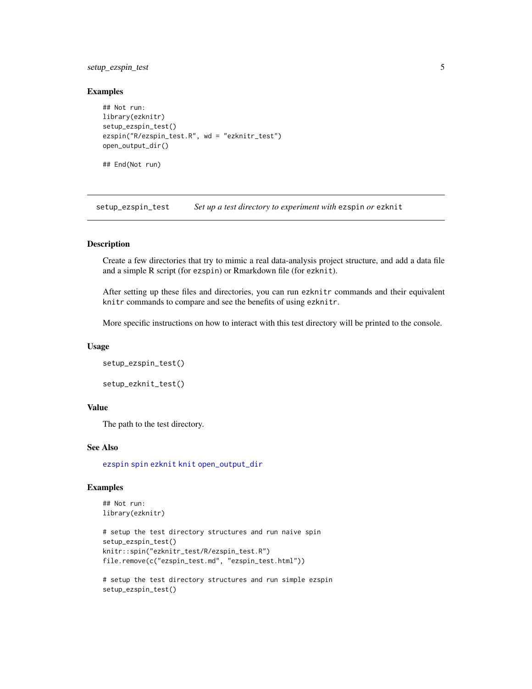# <span id="page-4-0"></span>setup\_ezspin\_test 5

# Examples

```
## Not run:
library(ezknitr)
setup_ezspin_test()
ezspin("R/ezspin_test.R", wd = "ezknitr_test")
open_output_dir()
## End(Not run)
```
<span id="page-4-2"></span>setup\_ezspin\_test *Set up a test directory to experiment with* ezspin *or* ezknit

# <span id="page-4-1"></span>Description

Create a few directories that try to mimic a real data-analysis project structure, and add a data file and a simple R script (for ezspin) or Rmarkdown file (for ezknit).

After setting up these files and directories, you can run ezknitr commands and their equivalent knitr commands to compare and see the benefits of using ezknitr.

More specific instructions on how to interact with this test directory will be printed to the console.

#### Usage

```
setup_ezspin_test()
```

```
setup_ezknit_test()
```
# Value

The path to the test directory.

# See Also

[ezspin](#page-1-1) [spin](#page-0-0) [ezknit](#page-1-1) [knit](#page-0-0) [open\\_output\\_dir](#page-3-1)

# Examples

```
## Not run:
library(ezknitr)
```

```
# setup the test directory structures and run naive spin
setup_ezspin_test()
knitr::spin("ezknitr_test/R/ezspin_test.R")
file.remove(c("ezspin_test.md", "ezspin_test.html"))
```

```
# setup the test directory structures and run simple ezspin
setup_ezspin_test()
```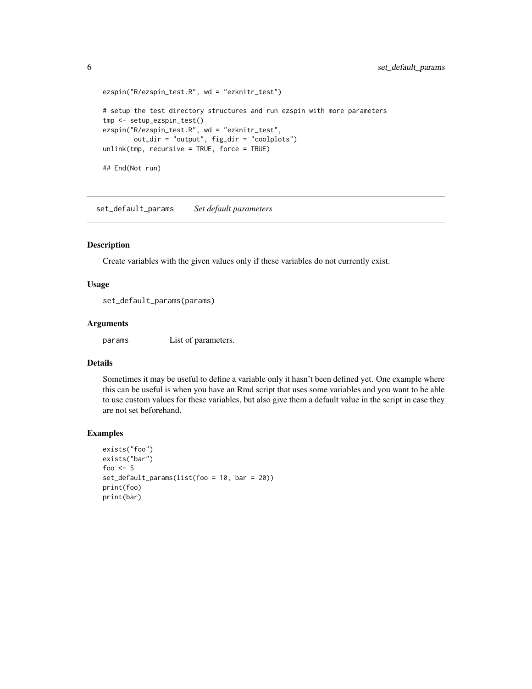```
ezspin("R/ezspin_test.R", wd = "ezknitr_test")
# setup the test directory structures and run ezspin with more parameters
tmp <- setup_ezspin_test()
ezspin("R/ezspin_test.R", wd = "ezknitr_test",
       out_dir = "output", fig_dir = "coolplots")
unlink(tmp, recursive = TRUE, force = TRUE)
## End(Not run)
```
<span id="page-5-1"></span>set\_default\_params *Set default parameters*

# Description

Create variables with the given values only if these variables do not currently exist.

# Usage

set\_default\_params(params)

#### Arguments

params List of parameters.

# Details

Sometimes it may be useful to define a variable only it hasn't been defined yet. One example where this can be useful is when you have an Rmd script that uses some variables and you want to be able to use custom values for these variables, but also give them a default value in the script in case they are not set beforehand.

#### Examples

```
exists("foo")
exists("bar")
foo <-5set_default_params(list(foo = 10, bar = 20))
print(foo)
print(bar)
```
<span id="page-5-0"></span>